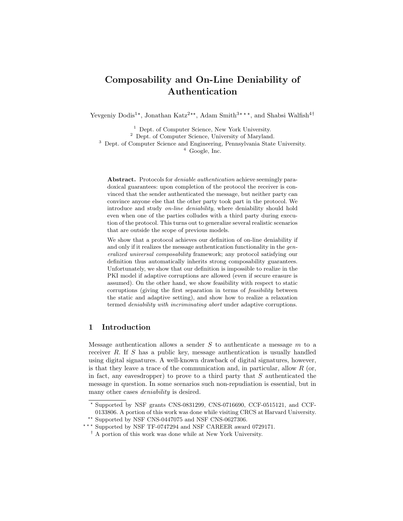# Composability and On-Line Deniability of Authentication

Yevgeniy Dodis<sup>1\*</sup>, Jonathan Katz<sup>2\*\*</sup>, Adam Smith<sup>3\*\*\*</sup>, and Shabsi Walfish<sup>4†</sup>

<sup>1</sup> Dept. of Computer Science, New York University.

<sup>2</sup> Dept. of Computer Science, University of Maryland.

<sup>3</sup> Dept. of Computer Science and Engineering, Pennsylvania State University.

<sup>4</sup> Google, Inc.

Abstract. Protocols for deniable authentication achieve seemingly paradoxical guarantees: upon completion of the protocol the receiver is convinced that the sender authenticated the message, but neither party can convince anyone else that the other party took part in the protocol. We introduce and study on-line deniability, where deniability should hold even when one of the parties colludes with a third party during execution of the protocol. This turns out to generalize several realistic scenarios that are outside the scope of previous models.

We show that a protocol achieves our definition of on-line deniability if and only if it realizes the message authentication functionality in the generalized universal composability framework; any protocol satisfying our definition thus automatically inherits strong composability guarantees. Unfortunately, we show that our definition is impossible to realize in the PKI model if adaptive corruptions are allowed (even if secure erasure is assumed). On the other hand, we show feasibility with respect to static corruptions (giving the first separation in terms of feasibility between the static and adaptive setting), and show how to realize a relaxation termed deniability with incriminating abort under adaptive corruptions.

# 1 Introduction

Message authentication allows a sender  $S$  to authenticate a message  $m$  to a receiver R. If S has a public key, message authentication is usually handled using digital signatures. A well-known drawback of digital signatures, however, is that they leave a trace of the communication and, in particular, allow  $R$  (or, in fact, any eavesdropper) to prove to a third party that  $S$  authenticated the message in question. In some scenarios such non-repudiation is essential, but in many other cases *deniability* is desired.

<sup>?</sup> Supported by NSF grants CNS-0831299, CNS-0716690, CCF-0515121, and CCF-0133806. A portion of this work was done while visiting CRCS at Harvard University.

 $^{\star\star}$  Supported by NSF CNS-0447075 and NSF CNS-0627306.

<sup>\*\*\*</sup> Supported by NSF TF-0747294 and NSF CAREER award 0729171.

<sup>†</sup> A portion of this work was done while at New York University.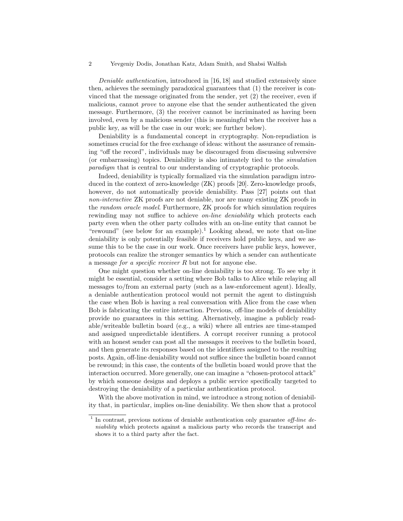#### 2 Yevgeniy Dodis, Jonathan Katz, Adam Smith, and Shabsi Walfish

Deniable authentication, introduced in [16, 18] and studied extensively since then, achieves the seemingly paradoxical guarantees that (1) the receiver is convinced that the message originated from the sender, yet (2) the receiver, even if malicious, cannot prove to anyone else that the sender authenticated the given message. Furthermore, (3) the receiver cannot be incriminated as having been involved, even by a malicious sender (this is meaningful when the receiver has a public key, as will be the case in our work; see further below).

Deniability is a fundamental concept in cryptography. Non-repudiation is sometimes crucial for the free exchange of ideas: without the assurance of remaining "off the record", individuals may be discouraged from discussing subversive (or embarrassing) topics. Deniability is also intimately tied to the simulation paradigm that is central to our understanding of cryptographic protocols.

Indeed, deniability is typically formalized via the simulation paradigm introduced in the context of zero-knowledge (ZK) proofs [20]. Zero-knowledge proofs, however, do not automatically provide deniability. Pass [27] points out that non-interactive ZK proofs are not deniable, nor are many existing ZK proofs in the random oracle model. Furthermore, ZK proofs for which simulation requires rewinding may not suffice to achieve *on-line deniability* which protects each party even when the other party colludes with an on-line entity that cannot be "rewound" (see below for an example).<sup>1</sup> Looking ahead, we note that on-line deniability is only potentially feasible if receivers hold public keys, and we assume this to be the case in our work. Once receivers have public keys, however, protocols can realize the stronger semantics by which a sender can authenticate a message for a specific receiver R but not for anyone else.

One might question whether on-line deniability is too strong. To see why it might be essential, consider a setting where Bob talks to Alice while relaying all messages to/from an external party (such as a law-enforcement agent). Ideally, a deniable authentication protocol would not permit the agent to distinguish the case when Bob is having a real conversation with Alice from the case when Bob is fabricating the entire interaction. Previous, off-line models of deniability provide no guarantees in this setting. Alternatively, imagine a publicly readable/writeable bulletin board (e.g., a wiki) where all entries are time-stamped and assigned unpredictable identifiers. A corrupt receiver running a protocol with an honest sender can post all the messages it receives to the bulletin board, and then generate its responses based on the identifiers assigned to the resulting posts. Again, off-line deniability would not suffice since the bulletin board cannot be rewound; in this case, the contents of the bulletin board would prove that the interaction occurred. More generally, one can imagine a "chosen-protocol attack" by which someone designs and deploys a public service specifically targeted to destroying the deniability of a particular authentication protocol.

With the above motivation in mind, we introduce a strong notion of deniability that, in particular, implies on-line deniability. We then show that a protocol

<sup>&</sup>lt;sup>1</sup> In contrast, previous notions of deniable authentication only guarantee off-line deniability which protects against a malicious party who records the transcript and shows it to a third party after the fact.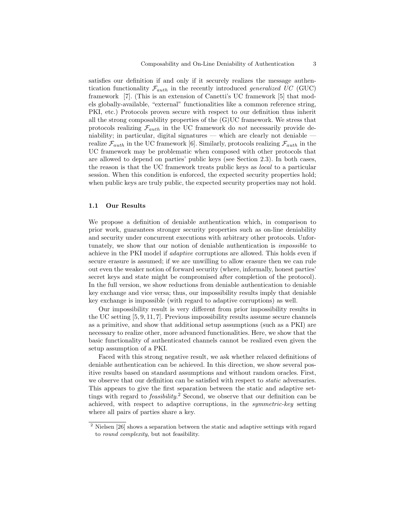satisfies our definition if and only if it securely realizes the message authentication functionality  $\mathcal{F}_{auth}$  in the recently introduced generalized UC (GUC) framework [7]. (This is an extension of Canetti's UC framework [5] that models globally-available, "external" functionalities like a common reference string, PKI, etc.) Protocols proven secure with respect to our definition thus inherit all the strong composability properties of the (G)UC framework. We stress that protocols realizing  $\mathcal{F}_{auth}$  in the UC framework do not necessarily provide deniability; in particular, digital signatures — which are clearly not deniable realize  $\mathcal{F}_{auth}$  in the UC framework [6]. Similarly, protocols realizing  $\mathcal{F}_{auth}$  in the UC framework may be problematic when composed with other protocols that are allowed to depend on parties' public keys (see Section 2.3). In both cases, the reason is that the UC framework treats public keys as local to a particular session. When this condition is enforced, the expected security properties hold; when public keys are truly public, the expected security properties may not hold.

## 1.1 Our Results

We propose a definition of deniable authentication which, in comparison to prior work, guarantees stronger security properties such as on-line deniability and security under concurrent executions with arbitrary other protocols. Unfortunately, we show that our notion of deniable authentication is impossible to achieve in the PKI model if adaptive corruptions are allowed. This holds even if secure erasure is assumed; if we are unwilling to allow erasure then we can rule out even the weaker notion of forward security (where, informally, honest parties' secret keys and state might be compromised after completion of the protocol). In the full version, we show reductions from deniable authentication to deniable key exchange and vice versa; thus, our impossibility results imply that deniable key exchange is impossible (with regard to adaptive corruptions) as well.

Our impossibility result is very different from prior impossibility results in the UC setting [5, 9, 11, 7]. Previous impossibility results assume secure channels as a primitive, and show that additional setup assumptions (such as a PKI) are necessary to realize other, more advanced functionalities. Here, we show that the basic functionality of authenticated channels cannot be realized even given the setup assumption of a PKI.

Faced with this strong negative result, we ask whether relaxed definitions of deniable authentication can be achieved. In this direction, we show several positive results based on standard assumptions and without random oracles. First, we observe that our definition can be satisfied with respect to static adversaries. This appears to give the first separation between the static and adaptive settings with regard to *feasibility*.<sup>2</sup> Second, we observe that our definition can be achieved, with respect to adaptive corruptions, in the symmetric-key setting where all pairs of parties share a key.

 $2$  Nielsen [26] shows a separation between the static and adaptive settings with regard to round complexity, but not feasibility.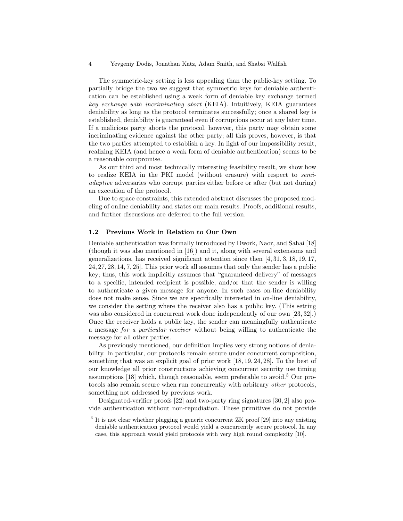#### 4 Yevgeniy Dodis, Jonathan Katz, Adam Smith, and Shabsi Walfish

The symmetric-key setting is less appealing than the public-key setting. To partially bridge the two we suggest that symmetric keys for deniable authentication can be established using a weak form of deniable key exchange termed key exchange with incriminating abort (KEIA). Intuitively, KEIA guarantees deniability as long as the protocol terminates successfully; once a shared key is established, deniability is guaranteed even if corruptions occur at any later time. If a malicious party aborts the protocol, however, this party may obtain some incriminating evidence against the other party; all this proves, however, is that the two parties attempted to establish a key. In light of our impossibility result, realizing KEIA (and hence a weak form of deniable authentication) seems to be a reasonable compromise.

As our third and most technically interesting feasibility result, we show how to realize KEIA in the PKI model (without erasure) with respect to semiadaptive adversaries who corrupt parties either before or after (but not during) an execution of the protocol.

Due to space constraints, this extended abstract discusses the proposed modeling of online deniability and states our main results. Proofs, additional results, and further discussions are deferred to the full version.

## 1.2 Previous Work in Relation to Our Own

Deniable authentication was formally introduced by Dwork, Naor, and Sahai [18] (though it was also mentioned in [16]) and it, along with several extensions and generalizations, has received significant attention since then [4, 31, 3, 18, 19, 17, 24, 27, 28, 14, 7, 25]. This prior work all assumes that only the sender has a public key; thus, this work implicitly assumes that "guaranteed delivery" of messages to a specific, intended recipient is possible, and/or that the sender is willing to authenticate a given message for anyone. In such cases on-line deniability does not make sense. Since we are specifically interested in on-line deniability, we consider the setting where the receiver also has a public key. (This setting was also considered in concurrent work done independently of our own [23, 32].) Once the receiver holds a public key, the sender can meaningfully authenticate a message for a particular receiver without being willing to authenticate the message for all other parties.

As previously mentioned, our definition implies very strong notions of deniability. In particular, our protocols remain secure under concurrent composition, something that was an explicit goal of prior work [18, 19, 24, 28]. To the best of our knowledge all prior constructions achieving concurrent security use timing assumptions [18] which, though reasonable, seem preferable to avoid.<sup>3</sup> Our protocols also remain secure when run concurrently with arbitrary other protocols, something not addressed by previous work.

Designated-verifier proofs [22] and two-party ring signatures [30, 2] also provide authentication without non-repudiation. These primitives do not provide

<sup>&</sup>lt;sup>3</sup> It is not clear whether plugging a generic concurrent ZK proof [29] into any existing deniable authentication protocol would yield a concurrently secure protocol. In any case, this approach would yield protocols with very high round complexity [10].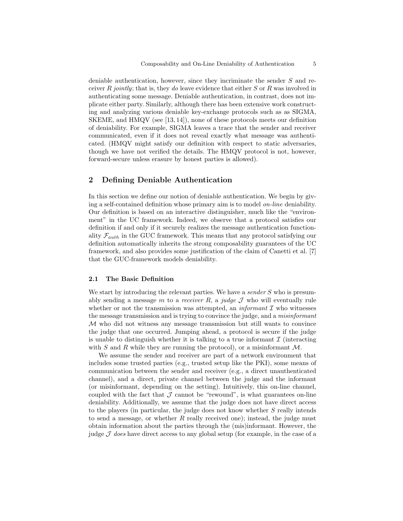deniable authentication, however, since they incriminate the sender S and receiver R jointly; that is, they do leave evidence that either  $S$  or  $R$  was involved in authenticating some message. Deniable authentication, in contrast, does not implicate either party. Similarly, although there has been extensive work constructing and analyzing various deniable key-exchange protocols such as as SIGMA, SKEME, and HMQV (see [13, 14]), none of these protocols meets our definition of deniability. For example, SIGMA leaves a trace that the sender and receiver communicated, even if it does not reveal exactly what message was authenticated. (HMQV might satisfy our definition with respect to static adversaries, though we have not verified the details. The HMQV protocol is not, however, forward-secure unless erasure by honest parties is allowed).

## 2 Defining Deniable Authentication

In this section we define our notion of deniable authentication. We begin by giving a self-contained definition whose primary aim is to model on-line deniability. Our definition is based on an interactive distinguisher, much like the "environment" in the UC framework. Indeed, we observe that a protocol satisfies our definition if and only if it securely realizes the message authentication functionality  $\mathcal{F}_{auth}$  in the GUC framework. This means that any protocol satisfying our definition automatically inherits the strong composability guarantees of the UC framework, and also provides some justification of the claim of Canetti et al. [7] that the GUC-framework models deniability.

#### 2.1 The Basic Definition

We start by introducing the relevant parties. We have a sender  $S$  who is presumably sending a message m to a receiver R, a judge  $\mathcal J$  who will eventually rule whether or not the transmission was attempted, an *informant*  $\mathcal I$  who witnesses the message transmission and is trying to convince the judge, and a misinformant  $M$  who did not witness any message transmission but still wants to convince the judge that one occurred. Jumping ahead, a protocol is secure if the judge is unable to distinguish whether it is talking to a true informant  $\mathcal I$  (interacting with S and R while they are running the protocol), or a misinformant  $M$ .

We assume the sender and receiver are part of a network environment that includes some trusted parties (e.g., trusted setup like the PKI), some means of communication between the sender and receiver (e.g., a direct unauthenticated channel), and a direct, private channel between the judge and the informant (or misinformant, depending on the setting). Intuitively, this on-line channel, coupled with the fact that  $J$  cannot be "rewound", is what guarantees on-line deniability. Additionally, we assume that the judge does not have direct access to the players (in particular, the judge does not know whether  $S$  really intends to send a message, or whether R really received one); instead, the judge must obtain information about the parties through the (mis)informant. However, the judge  $\mathcal J$  does have direct access to any global setup (for example, in the case of a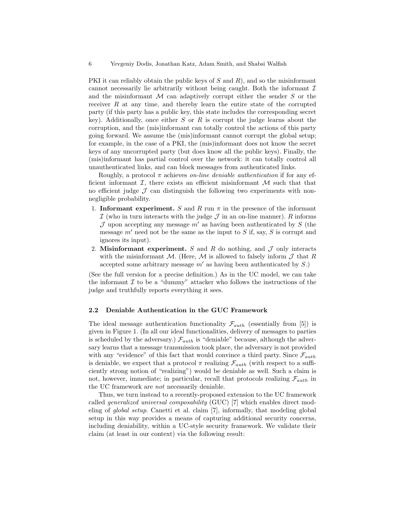PKI it can reliably obtain the public keys of  $S$  and  $R$ ), and so the misinformant cannot necessarily lie arbitrarily without being caught. Both the informant  $\mathcal I$ and the misinformant  $\mathcal M$  can adaptively corrupt either the sender  $S$  or the receiver  $R$  at any time, and thereby learn the entire state of the corrupted party (if this party has a public key, this state includes the corresponding secret key). Additionally, once either  $S$  or  $R$  is corrupt the judge learns about the corruption, and the (mis)informant can totally control the actions of this party going forward. We assume the (mis)informant cannot corrupt the global setup; for example, in the case of a PKI, the (mis)informant does not know the secret keys of any uncorrupted party (but does know all the public keys). Finally, the (mis)informant has partial control over the network: it can totally control all unauthenticated links, and can block messages from authenticated links.

Roughly, a protocol  $\pi$  achieves *on-line deniable authentication* if for any efficient informant  $\mathcal I$ , there exists an efficient misinformant  $\mathcal M$  such that that no efficient judge  $\mathcal J$  can distinguish the following two experiments with nonnegligible probability.

- 1. Informant experiment. S and R run  $\pi$  in the presence of the informant  $\mathcal I$  (who in turn interacts with the judge  $\mathcal J$  in an on-line manner). R informs  $J$  upon accepting any message  $m'$  as having been authenticated by S (the message  $m'$  need not be the same as the input to S if, say, S is corrupt and ignores its input).
- 2. Misinformant experiment. S and R do nothing, and  $\mathcal J$  only interacts with the misinformant M. (Here, M is allowed to falsely inform  $\mathcal J$  that R accepted some arbitrary message  $m'$  as having been authenticated by S.)

(See the full version for a precise definition.) As in the UC model, we can take the informant  $\mathcal I$  to be a "dummy" attacker who follows the instructions of the judge and truthfully reports everything it sees.

#### 2.2 Deniable Authentication in the GUC Framework

The ideal message authentication functionality  $\mathcal{F}_{auth}$  (essentially from [5]) is given in Figure 1. (In all our ideal functionalities, delivery of messages to parties is scheduled by the adversary.)  $\mathcal{F}_{auth}$  is "deniable" because, although the adversary learns that a message transmission took place, the adversary is not provided with any "evidence" of this fact that would convince a third party. Since  $\mathcal{F}_{auth}$ is deniable, we expect that a protocol  $\pi$  realizing  $\mathcal{F}_{auth}$  (with respect to a sufficiently strong notion of "realizing") would be deniable as well. Such a claim is not, however, immediate; in particular, recall that protocols realizing  $\mathcal{F}_{auth}$  in the UC framework are not necessarily deniable.

Thus, we turn instead to a recently-proposed extension to the UC framework called generalized universal composability (GUC) [7] which enables direct modeling of global setup. Canetti et al. claim [7], informally, that modeling global setup in this way provides a means of capturing additional security concerns, including deniability, within a UC-style security framework. We validate their claim (at least in our context) via the following result: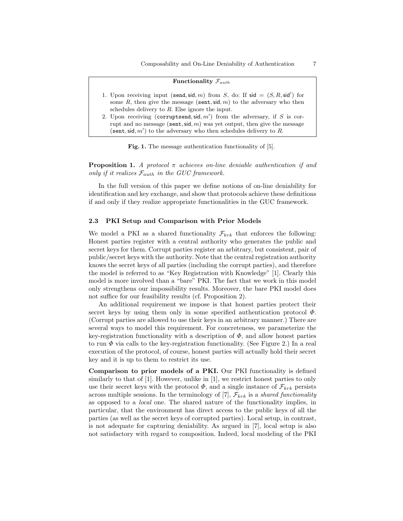Composability and On-Line Deniability of Authentication 7

| Functionality $\mathcal{F}_{auth}$ |                                                                                                                                                                                                                                                                                                                                                                                                                                                               |  |  |
|------------------------------------|---------------------------------------------------------------------------------------------------------------------------------------------------------------------------------------------------------------------------------------------------------------------------------------------------------------------------------------------------------------------------------------------------------------------------------------------------------------|--|--|
|                                    | 1. Upon receiving input (send, sid, m) from S, do: If sid = $(S, R, \text{sid}')$ for<br>some R, then give the message (sent, sid, m) to the adversary who then<br>schedules delivery to $R$ . Else ignore the input.<br>2. Upon receiving (corruptsend, sid, $m'$ ) from the adversary, if S is cor-<br>rupt and no message (sent, sid, $m$ ) was yet output, then give the message<br>(sent, sid, $m'$ ) to the adversary who then schedules delivery to R. |  |  |
|                                    |                                                                                                                                                                                                                                                                                                                                                                                                                                                               |  |  |

Fig. 1. The message authentication functionality of [5].

**Proposition 1.** A protocol  $\pi$  achieves on-line deniable authentication if and only if it realizes  $\mathcal{F}_{auth}$  in the GUC framework.

In the full version of this paper we define notions of on-line deniability for identification and key exchange, and show that protocols achieve these definitions if and only if they realize appropriate functionalities in the GUC framework.

## 2.3 PKI Setup and Comparison with Prior Models

We model a PKI as a shared functionality  $\mathcal{F}_{krk}$  that enforces the following: Honest parties register with a central authority who generates the public and secret keys for them. Corrupt parties register an arbitrary, but consistent, pair of public/secret keys with the authority. Note that the central registration authority knows the secret keys of all parties (including the corrupt parties), and therefore the model is referred to as "Key Registration with Knowledge" [1]. Clearly this model is more involved than a "bare" PKI. The fact that we work in this model only strengthens our impossibility results. Moreover, the bare PKI model does not suffice for our feasibility results (cf. Proposition 2).

An additional requirement we impose is that honest parties protect their secret keys by using them only in some specified authentication protocol  $\Phi$ . (Corrupt parties are allowed to use their keys in an arbitrary manner.) There are several ways to model this requirement. For concreteness, we parameterize the key-registration functionality with a description of  $\Phi$ , and allow honest parties to run  $\Phi$  via calls to the key-registration functionality. (See Figure 2.) In a real execution of the protocol, of course, honest parties will actually hold their secret key and it is up to them to restrict its use.

Comparison to prior models of a PKI. Our PKI functionality is defined similarly to that of [1]. However, unlike in [1], we restrict honest parties to only use their secret keys with the protocol  $\Phi$ , and a single instance of  $\mathcal{F}_{krk}$  persists across multiple sessions. In the terminology of [7],  $\mathcal{F}_{krk}$  is a shared functionality as opposed to a local one. The shared nature of the functionality implies, in particular, that the environment has direct access to the public keys of all the parties (as well as the secret keys of corrupted parties). Local setup, in contrast, is not adequate for capturing deniability. As argued in [7], local setup is also not satisfactory with regard to composition. Indeed, local modeling of the PKI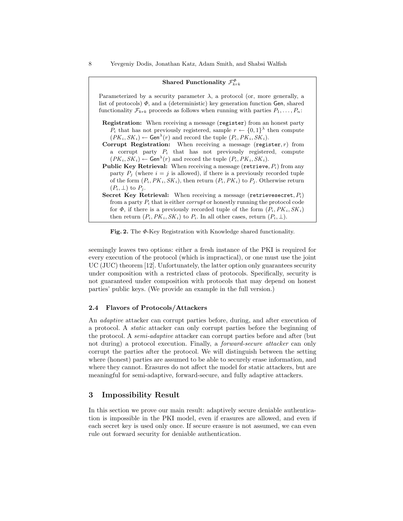# Shared Functionality  $\mathcal{F}^\varPhi_{krk}$

Parameterized by a security parameter  $\lambda$ , a protocol (or, more generally, a list of protocols)  $\Phi$ , and a (deterministic) key generation function Gen, shared functionality  $\mathcal{F}_{krk}$  proceeds as follows when running with parties  $P_1, \ldots, P_n$ :

- Registration: When receiving a message (register) from an honest party  $P_i$  that has not previously registered, sample  $r \leftarrow \{0,1\}^{\lambda}$  then compute  $(PK_i, SK_i) \leftarrow$  Gen<sup> $\lambda$ </sup>(r) and record the tuple  $(P_i, PK_i, SK_i)$ .
- Corrupt Registration: When receiving a message (register,  $r$ ) from a corrupt party  $P_i$  that has not previously registered, compute  $(PK_i, SK_i) \leftarrow$  Gen<sup> $\lambda$ </sup>(r) and record the tuple  $(P_i, PK_i, SK_i)$ .
- **Public Key Retrieval:** When receiving a message (retrieve,  $P_i$ ) from any party  $P_j$  (where  $i = j$  is allowed), if there is a previously recorded tuple of the form  $(P_i, PK_i, SK_i)$ , then return  $(P_i, PK_i)$  to  $P_i$ . Otherwise return  $(P_i, \perp)$  to  $P_i$ .
- Secret Key Retrieval: When receiving a message (retrievesecret,  $P_i$ ) from a party  $P_i$  that is either *corrupt* or honestly running the protocol code for  $\Phi$ , if there is a previously recorded tuple of the form  $(P_i, PK_i, SK_i)$ then return  $(P_i, PK_i, SK_i)$  to  $P_i$ . In all other cases, return  $(P_i, \perp)$ .

Fig. 2. The Φ-Key Registration with Knowledge shared functionality.

seemingly leaves two options: either a fresh instance of the PKI is required for every execution of the protocol (which is impractical), or one must use the joint UC (JUC) theorem [12]. Unfortunately, the latter option only guarantees security under composition with a restricted class of protocols. Specifically, security is not guaranteed under composition with protocols that may depend on honest parties' public keys. (We provide an example in the full version.)

### 2.4 Flavors of Protocols/Attackers

An adaptive attacker can corrupt parties before, during, and after execution of a protocol. A static attacker can only corrupt parties before the beginning of the protocol. A semi-adaptive attacker can corrupt parties before and after (but not during) a protocol execution. Finally, a forward-secure attacker can only corrupt the parties after the protocol. We will distinguish between the setting where (honest) parties are assumed to be able to securely erase information, and where they cannot. Erasures do not affect the model for static attackers, but are meaningful for semi-adaptive, forward-secure, and fully adaptive attackers.

## 3 Impossibility Result

In this section we prove our main result: adaptively secure deniable authentication is impossible in the PKI model, even if erasures are allowed, and even if each secret key is used only once. If secure erasure is not assumed, we can even rule out forward security for deniable authentication.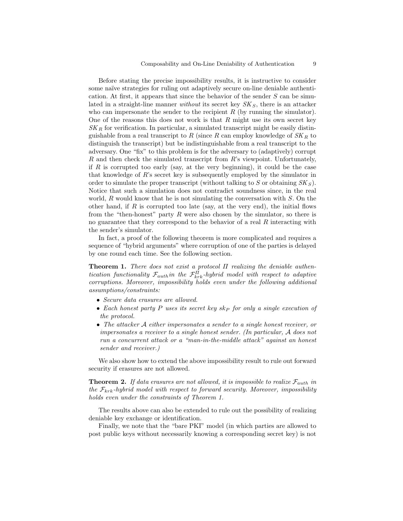Before stating the precise impossibility results, it is instructive to consider some naïve strategies for ruling out adaptively secure on-line deniable authentication. At first, it appears that since the behavior of the sender  $S$  can be simulated in a straight-line manner *without* its secret key  $SK_S$ , there is an attacker who can impersonate the sender to the recipient  $R$  (by running the simulator). One of the reasons this does not work is that  $R$  might use its own secret key  $SK_R$  for verification. In particular, a simulated transcript might be easily distinguishable from a real transcript to  $R$  (since  $R$  can employ knowledge of  $SK_R$  to distinguish the transcript) but be indistinguishable from a real transcript to the adversary. One "fix" to this problem is for the adversary to (adaptively) corrupt R and then check the simulated transcript from R's viewpoint. Unfortunately, if R is corrupted too early (say, at the very beginning), it could be the case that knowledge of R's secret key is subsequently employed by the simulator in order to simulate the proper transcript (without talking to  $S$  or obtaining  $SK_S$ ). Notice that such a simulation does not contradict soundness since, in the real world,  $R$  would know that he is not simulating the conversation with  $S$ . On the other hand, if R is corrupted too late (say, at the very end), the initial flows from the "then-honest" party  $R$  were also chosen by the simulator, so there is no guarantee that they correspond to the behavior of a real  $R$  interacting with the sender's simulator.

In fact, a proof of the following theorem is more complicated and requires a sequence of "hybrid arguments" where corruption of one of the parties is delayed by one round each time. See the following section.

**Theorem 1.** There does not exist a protocol  $\Pi$  realizing the deniable authentication functionality  $\mathcal{F}_{auth}$  in the  $\mathcal{F}_{krk}^{\Pi}$ -hybrid model with respect to adaptive corruptions. Moreover, impossibility holds even under the following additional assumptions/constraints:

- Secure data erasures are allowed.
- Each honest party P uses its secret key sk<sub>P</sub> for only a single execution of the protocol.
- The attacker A either impersonates a sender to a single honest receiver, or impersonates a receiver to a single honest sender. (In particular, A does not run a concurrent attack or a "man-in-the-middle attack" against an honest sender and receiver.)

We also show how to extend the above impossibility result to rule out forward security if erasures are not allowed.

**Theorem 2.** If data erasures are not allowed, it is impossible to realize  $\mathcal{F}_{auth}$  in the  $\mathcal{F}_{krk}$ -hybrid model with respect to forward security. Moreover, impossibility holds even under the constraints of Theorem 1.

The results above can also be extended to rule out the possibility of realizing deniable key exchange or identification.

Finally, we note that the "bare PKI" model (in which parties are allowed to post public keys without necessarily knowing a corresponding secret key) is not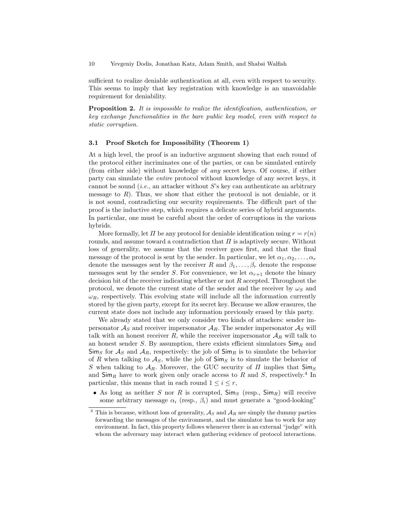10 Yevgeniy Dodis, Jonathan Katz, Adam Smith, and Shabsi Walfish

sufficient to realize deniable authentication at all, even with respect to security. This seems to imply that key registration with knowledge is an unavoidable requirement for deniability.

Proposition 2. It is impossible to realize the identification, authentication, or key exchange functionalities in the bare public key model, even with respect to static corruption.

## 3.1 Proof Sketch for Impossibility (Theorem 1)

At a high level, the proof is an inductive argument showing that each round of the protocol either incriminates one of the parties, or can be simulated entirely (from either side) without knowledge of any secret keys. Of course, if either party can simulate the entire protocol without knowledge of any secret keys, it cannot be sound (*i.e.*, an attacker without  $S$ 's key can authenticate an arbitrary message to  $R$ ). Thus, we show that either the protocol is not deniable, or it is not sound, contradicting our security requirements. The difficult part of the proof is the inductive step, which requires a delicate series of hybrid arguments. In particular, one must be careful about the order of corruptions in the various hybrids.

More formally, let  $\Pi$  be any protocol for deniable identification using  $r = r(n)$ rounds, and assume toward a contradiction that  $\Pi$  is adaptively secure. Without loss of generality, we assume that the receiver goes first, and that the final message of the protocol is sent by the sender. In particular, we let  $\alpha_1, \alpha_2, \ldots, \alpha_r$ denote the messages sent by the receiver R and  $\beta_1, \ldots, \beta_r$  denote the response messages sent by the sender S. For convenience, we let  $\alpha_{r+1}$  denote the binary decision bit of the receiver indicating whether or not R accepted. Throughout the protocol, we denote the current state of the sender and the receiver by  $\omega_s$  and  $\omega_R$ , respectively. This evolving state will include all the information currently stored by the given party, except for its secret key. Because we allow erasures, the current state does not include any information previously erased by this party.

We already stated that we only consider two kinds of attackers: sender impersonator  $\mathcal{A}_S$  and receiver impersonator  $\mathcal{A}_R$ . The sender impersonator  $\mathcal{A}_S$  will talk with an honest receiver  $R$ , while the receiver impersonator  $A_R$  will talk to an honest sender S. By assumption, there exists efficient simulators  $\mathsf{Sim}_R$  and  $\mathsf{Sim}_S$  for  $\mathcal{A}_S$  and  $\mathcal{A}_R$ , respectively: the job of  $\mathsf{Sim}_R$  is to simulate the behavior of R when talking to  $A<sub>S</sub>$ , while the job of  $\mathsf{Sim}_S$  is to simulate the behavior of S when talking to  $A_R$ . Moreover, the GUC security of  $\Pi$  implies that  $\mathsf{Sim}_S$ and  $\mathsf{Sim}_R$  have to work given only oracle access to R and S, respectively.<sup>4</sup> In particular, this means that in each round  $1 \leq i \leq r$ ,

• As long as neither S nor R is corrupted,  $\mathsf{Sim}_S$  (resp.,  $\mathsf{Sim}_R$ ) will receive some arbitrary message  $\alpha_i$  (resp.,  $\beta_i$ ) and must generate a "good-looking"

<sup>&</sup>lt;sup>4</sup> This is because, without loss of generality,  $A_S$  and  $A_R$  are simply the dummy parties forwarding the messages of the environment, and the simulator has to work for any environment. In fact, this property follows whenever there is an external "judge" with whom the adversary may interact when gathering evidence of protocol interactions.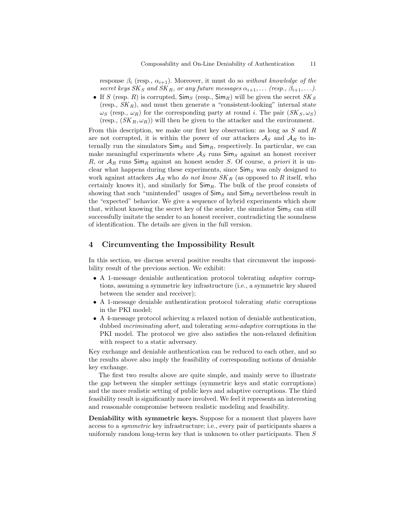response  $\beta_i$  (resp.,  $\alpha_{i+1}$ ). Moreover, it must do so without knowledge of the secret keys  $SK_S$  and  $SK_R$ , or any future messages  $\alpha_{i+1}, \ldots$  (resp.,  $\beta_{i+1}, \ldots$ ).

• If S (resp. R) is corrupted,  $\mathsf{Sim}_S$  (resp.,  $\mathsf{Sim}_R$ ) will be given the secret  $SK_S$ (resp.,  $SK_R$ ), and must then generate a "consistent-looking" internal state  $\omega_S$  (resp.,  $\omega_R$ ) for the corresponding party at round i. The pair  $(SK_S, \omega_S)$ (resp.,  $(SK_R, \omega_R)$ ) will then be given to the attacker and the environment.

From this description, we make our first key observation: as long as  $S$  and  $R$ are not corrupted, it is within the power of our attackers  $\mathcal{A}_S$  and  $\mathcal{A}_R$  to internally run the simulators  $\mathsf{Sim}_S$  and  $\mathsf{Sim}_R$ , respectively. In particular, we can make meaningful experiments where  $A<sub>S</sub>$  runs  $\textsf{Sim}_{S}$  against an honest receiver R, or  $A_R$  runs  $\textsf{Sim}_R$  against an honest sender S. Of course, a priori it is unclear what happens during these experiments, since  $\mathsf{Sim}_S$  was only designed to work against attackers  $A_R$  who do not know  $SK_R$  (as opposed to R itself, who certainly knows it), and similarly for  $\mathsf{Sim}_R$ . The bulk of the proof consists of showing that such "unintended" usages of  $\mathsf{Sim}_S$  and  $\mathsf{Sim}_R$  nevertheless result in the "expected" behavior. We give a sequence of hybrid experiments which show that, without knowing the secret key of the sender, the simulator  $\mathsf{Sim}_S$  can still successfully imitate the sender to an honest receiver, contradicting the soundness of identification. The details are given in the full version.

## 4 Circumventing the Impossibility Result

In this section, we discuss several positive results that circumvent the impossibility result of the previous section. We exhibit:

- A 1-message deniable authentication protocol tolerating *adaptive* corruptions, assuming a symmetric key infrastructure (i.e., a symmetric key shared between the sender and receiver);
- A 1-message deniable authentication protocol tolerating static corruptions in the PKI model;
- A 4-message protocol achieving a relaxed notion of deniable authentication, dubbed incriminating abort, and tolerating semi-adaptive corruptions in the PKI model. The protocol we give also satisfies the non-relaxed definition with respect to a static adversary.

Key exchange and deniable authentication can be reduced to each other, and so the results above also imply the feasibility of corresponding notions of deniable key exchange.

The first two results above are quite simple, and mainly serve to illustrate the gap between the simpler settings (symmetric keys and static corruptions) and the more realistic setting of public keys and adaptive corruptions. The third feasibility result is significantly more involved. We feel it represents an interesting and reasonable compromise between realistic modeling and feasibility.

Deniability with symmetric keys. Suppose for a moment that players have access to a symmetric key infrastructure; i.e., every pair of participants shares a uniformly random long-term key that is unknown to other participants. Then S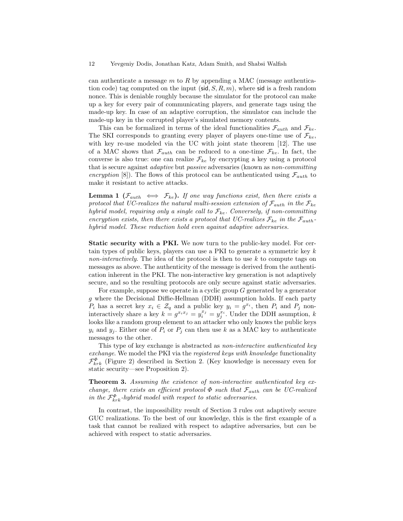can authenticate a message  $m$  to  $R$  by appending a MAC (message authentication code) tag computed on the input (sid,  $S, R, m$ ), where sid is a fresh random nonce. This is deniable roughly because the simulator for the protocol can make up a key for every pair of communicating players, and generate tags using the made-up key. In case of an adaptive corruption, the simulator can include the made-up key in the corrupted player's simulated memory contents.

This can be formalized in terms of the ideal functionalities  $\mathcal{F}_{auth}$  and  $\mathcal{F}_{ke}$ . The SKI corresponds to granting every player of players one-time use of  $\mathcal{F}_{ke}$ , with key re-use modeled via the UC with joint state theorem [12]. The use of a MAC shows that  $\mathcal{F}_{auth}$  can be reduced to a one-time  $\mathcal{F}_{ke}$ . In fact, the converse is also true: one can realize  $\mathcal{F}_{ke}$  by encrypting a key using a protocol that is secure against adaptive but passive adversaries (known as non-committing encryption [8]). The flows of this protocol can be authenticated using  $\mathcal{F}_{auth}$  to make it resistant to active attacks.

**Lemma 1** ( $\mathcal{F}_{auth} \iff \mathcal{F}_{ke}$ ). If one way functions exist, then there exists a protocol that UC-realizes the natural multi-session extension of  $\mathcal{F}_{auth}$  in the  $\mathcal{F}_{ke}$ hybrid model, requiring only a single call to  $\mathcal{F}_{ke}$ . Conversely, if non-committing encryption exists, then there exists a protocol that UC-realizes  $\mathcal{F}_{ke}$  in the  $\mathcal{F}_{auth}$ hybrid model. These reduction hold even against adaptive adversaries.

Static security with a PKI. We now turn to the public-key model. For certain types of public keys, players can use a PKI to generate a symmetric key k non-interactively. The idea of the protocol is then to use k to compute tags on messages as above. The authenticity of the message is derived from the authentication inherent in the PKI. The non-interactive key generation is not adaptively secure, and so the resulting protocols are only secure against static adversaries.

For example, suppose we operate in a cyclic group  $G$  generated by a generator g where the Decisional Diffie-Hellman (DDH) assumption holds. If each party  $P_i$  has a secret key  $x_i \in \mathcal{Z}_q$  and a public key  $y_i = g^{x_i}$ , then  $P_i$  and  $P_j$  noninteractively share a key  $k = g^{x_i x_j} = y_i^{x_j} = y_j^{x_i}$ . Under the DDH asumption, k looks like a random group element to an attacker who only knows the public keys  $y_i$  and  $y_j$ . Either one of  $P_i$  or  $P_j$  can then use k as a MAC key to authenticate messages to the other.

This type of key exchange is abstracted as *non-interactive authenticated key* exchange. We model the PKI via the registered keys with knowledge functionality  $\mathcal{F}^{\Phi}_{krk}$  (Figure 2) described in Section 2. (Key knowledge is necessary even for static security—see Proposition 2).

Theorem 3. Assuming the existence of non-interactive authenticated key exchange, there exists an efficient protocol  $\Phi$  such that  $\mathcal{F}_{auth}$  can be UC-realized in the  $\mathcal{F}_{krk}^{\Phi}$ -hybrid model with respect to static adversaries.

In contrast, the impossibility result of Section 3 rules out adaptively secure GUC realizations. To the best of our knowledge, this is the first example of a task that cannot be realized with respect to adaptive adversaries, but can be achieved with respect to static adversaries.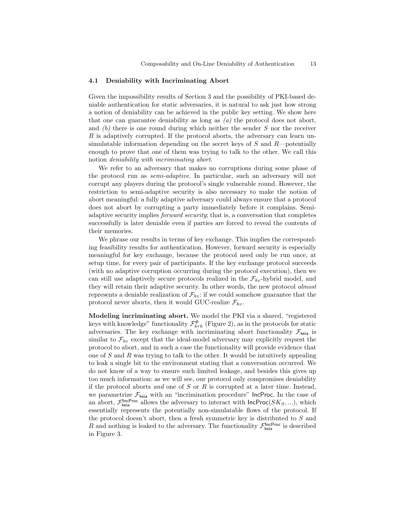## 4.1 Deniability with Incriminating Abort

Given the impossibility results of Section 3 and the possibility of PKI-based deniable authentication for static adversaries, it is natural to ask just how strong a notion of deniability can be achieved in the public key setting. We show here that one can guarantee deniability as long as  $(a)$  the protocol does not abort, and  $(b)$  there is one round during which neither the sender S nor the receiver  $R$  is adaptively corrupted. If the protocol aborts, the adversary can learn unsimulatable information depending on the secret keys of  $S$  and  $R$ —potentially enough to prove that one of them was trying to talk to the other. We call this notion deniability with incriminating abort.

We refer to an adversary that makes no corruptions during some phase of the protocol run as semi-adaptive. In particular, such an adversary will not corrupt any players during the protocol's single vulnerable round. However, the restriction to semi-adaptive security is also necessary to make the notion of abort meaningful: a fully adaptive adversary could always ensure that a protocol does not abort by corrupting a party immediately before it complains. Semiadaptive security implies forward security; that is, a conversation that completes successfully is later deniable even if parties are forced to reveal the contents of their memories.

We phrase our results in terms of key exchange. This implies the corresponding feasibility results for authentication. However, forward security is especially meaningful for key exchange, because the protocol need only be run once, at setup time, for every pair of participants. If the key exchange protocol succeeds (with no adaptive corruption occurring during the protocol execution), then we can still use adaptively secure protocols realized in the  $\mathcal{F}_{ke}$ -hybrid model, and they will retain their adaptive security. In other words, the new protocol almost represents a deniable realization of  $\mathcal{F}_{ke}$ : if we could somehow guarantee that the protocol never aborts, then it would GUC-realize  $\mathcal{F}_{ke}$ .

Modeling incriminating abort. We model the PKI via a shared, "registered keys with knowledge" functionality  $\mathcal{F}^{\Phi}_{krk}$  (Figure 2), as in the protocols for static adversaries. The key exchange with incriminating abort functionality  $\mathcal{F}_{\text{keia}}$  is similar to  $\mathcal{F}_{ke}$  except that the ideal-model adversary may explicitly request the protocol to abort, and in such a case the functionality will provide evidence that one of  $S$  and  $R$  was trying to talk to the other. It would be intuitively appealing to leak a single bit to the environment stating that a conversation occurred. We do not know of a way to ensure such limited leakage, and besides this gives up too much information: as we will see, our protocol only compromises deniability if the protocol aborts and one of  $S$  or  $R$  is corrupted at a later time. Instead, we parametrize  $\mathcal{F}_{\mathsf{keia}}$  with an "incrimination procedure" IncProc. In the case of an abort,  $\mathcal{F}_{\text{keia}}^{\text{IncProc}}$  allows the adversary to interact with  $\text{IncProc}(SK_S, ...),$  which essentially represents the potentially non-simulatable flows of the protocol. If the protocol doesn't abort, then a fresh symmetric key is distributed to S and R and nothing is leaked to the adversary. The functionality  $\mathcal{F}_{\text{keia}}^{\text{IncProc}}$  is described in Figure 3.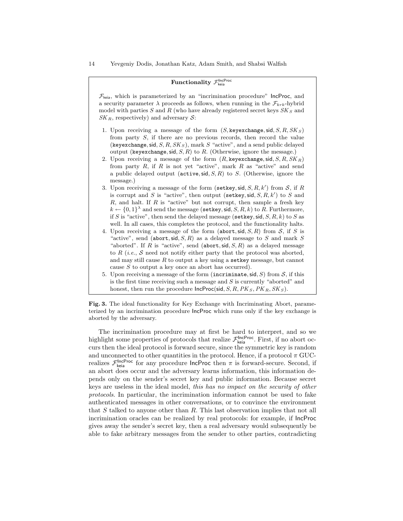# $\operatorname{Functionality}\,\mathcal{F}_{\textsf{keia}}^{\textsf{IncProc}}$

 $\mathcal{F}_{\text{keia}}$ , which is parameterized by an "incrimination procedure" IncProc, and a security parameter  $\lambda$  proceeds as follows, when running in the  $\mathcal{F}_{krk}$ -hybrid model with parties  $S$  and  $R$  (who have already registered secret keys  $SK_S$  and  $SK_R$ , respectively) and adversary S:

- 1. Upon receiving a message of the form  $(S, \text{keyexchange}, \text{sid}, S, R, SKs)$ from party  $S$ , if there are no previous records, then record the value (keyexchange, sid,  $S, R, SK_S$ ), mark S "active", and a send public delayed output (keyexchange, sid,  $S$ ,  $R$ ) to  $R$ . (Otherwise, ignore the message.)
- 2. Upon receiving a message of the form  $(R, \text{keyexchange}, \text{sid}, S, R, SK_R)$ from party  $R$ , if  $R$  is not yet "active", mark  $R$  as "active" and send a public delayed output ( $\texttt{active}, \textsf{sid}, S, R$ ) to S. (Otherwise, ignore the message.)
- 3. Upon receiving a message of the form (setkey, sid,  $S, R, k'$ ) from  $S$ , if R is corrupt and S is "active", then output (setkey,  $\mathsf{sid}, S, R, k'$ ) to S and  $R$ , and halt. If  $R$  is "active" but not corrupt, then sample a fresh key  $k \leftarrow \{0,1\}^{\lambda}$  and send the message (setkey, sid, S, R, k) to R. Furthermore, if S is "active", then send the delayed message (setkey, sid,  $S, R, k$ ) to S as well. In all cases, this completes the protocol, and the functionality halts.
- 4. Upon receiving a message of the form (abort, sid,  $S, R$ ) from  $S$ , if S is "active", send (abort, sid,  $S$ ,  $R$ ) as a delayed message to  $S$  and mark  $S$ "aborted". If  $R$  is "active", send (abort, sid,  $S, R$ ) as a delayed message to  $R$  (*i.e.*,  $S$  need not notify either party that the protocol was aborted, and may still cause  $R$  to output a key using a setkey message, but cannot cause  $S$  to output a key once an abort has occurred).
- 5. Upon receiving a message of the form (incriminate, sid, S) from  $S$ , if this is the first time receiving such a message and  $S$  is currently "aborted" and honest, then run the procedure  $IncProc(side, S, R, PK_S, PK_R, SK_S).$

Fig. 3. The ideal functionality for Key Exchange with Incriminating Abort, parameterized by an incrimination procedure IncProc which runs only if the key exchange is aborted by the adversary.

The incrimination procedure may at first be hard to interpret, and so we highlight some properties of protocols that realize  $\mathcal{F}_{\text{keia}}^{\text{IncProc}}$ . First, if no abort occurs then the ideal protocol is forward secure, since the symmetric key is random and unconnected to other quantities in the protocol. Hence, if a protocol  $\pi$  GUCrealizes  $\mathcal{F}_{\text{keia}}^{\text{IncProc}}$  for any procedure  $\text{IncProc}$  then  $\pi$  is forward-secure. Second, if an abort does occur and the adversary learns information, this information depends only on the sender's secret key and public information. Because secret keys are useless in the ideal model, this has no impact on the security of other protocols. In particular, the incrimination information cannot be used to fake authenticated messages in other conversations, or to convince the environment that S talked to anyone other than R. This last observation implies that not all incrimination oracles can be realized by real protocols: for example, if IncProc gives away the sender's secret key, then a real adversary would subsequently be able to fake arbitrary messages from the sender to other parties, contradicting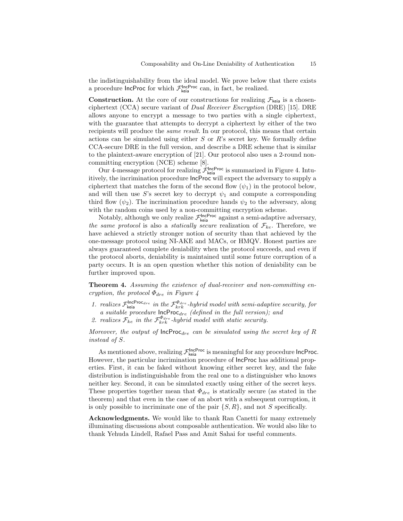the indistinguishability from the ideal model. We prove below that there exists a procedure **IncProc** for which  $\mathcal{F}_{\text{keia}}^{\text{IncProc}}$  can, in fact, be realized.

**Construction.** At the core of our constructions for realizing  $\mathcal{F}_{\text{keia}}$  is a chosenciphertext (CCA) secure variant of Dual Receiver Encryption (DRE) [15]. DRE allows anyone to encrypt a message to two parties with a single ciphertext, with the guarantee that attempts to decrypt a ciphertext by either of the two recipients will produce the same result. In our protocol, this means that certain actions can be simulated using either  $S$  or  $R$ 's secret key. We formally define CCA-secure DRE in the full version, and describe a DRE scheme that is similar to the plaintext-aware encryption of [21]. Our protocol also uses a 2-round noncommitting encryption (NCE) scheme [8].

Our 4-message protocol for realizing  $\mathcal{F}_{\text{keia}}^{\text{IncProc}}$  is summarized in Figure 4. Intuitively, the incrimination procedure IncProc will expect the adversary to supply a ciphertext that matches the form of the second flow  $(\psi_1)$  in the protocol below, and will then use S's secret key to decrypt  $\psi_1$  and compute a corresponding third flow  $(\psi_2)$ . The incrimination procedure hands  $\psi_2$  to the adversary, along with the random coins used by a non-committing encryption scheme.

Notably, although we only realize  $\mathcal{F}_{\text{keia}}^{\text{IncProc}}$  against a semi-adaptive adversary, the same protocol is also a statically secure realization of  $\mathcal{F}_{ke}$ . Therefore, we have achieved a strictly stronger notion of security than that achieved by the one-message protocol using NI-AKE and MACs, or HMQV. Honest parties are always guaranteed complete deniability when the protocol succeeds, and even if the protocol aborts, deniability is maintained until some future corruption of a party occurs. It is an open question whether this notion of deniability can be further improved upon.

Theorem 4. Assuming the existence of dual-receiver and non-committing encryption, the protocol  $\Phi_{dre}$  in Figure 4

- 1. realizes  $\mathcal{F}_{\text{keia}}^{\text{IncProc}_{dre}}$  in the  $\mathcal{F}_{krk}^{\Phi_{dre}}$ -hybrid model with semi-adaptive security, for a suitable procedure  $lncProc_{dre}$  (defined in the full version); and
- 2. realizes  $\mathcal{F}_{ke}$  in the  $\mathcal{F}_{krk}^{\Phi_{dre}}$ -hybrid model with static security.

Moreover, the output of  $IncProc_{dre}$  can be simulated using the secret key of R instead of S.

As mentioned above, realizing  $\mathcal{F}^{\mathsf{IncProc}}_{\mathsf{keia}}$  is meaningful for any procedure  $\mathsf{IncProc}.$ However, the particular incrimination procedure of IncProc has additional properties. First, it can be faked without knowing either secret key, and the fake distribution is indistinguishable from the real one to a distinguisher who knows neither key. Second, it can be simulated exactly using either of the secret keys. These properties together mean that  $\Phi_{dre}$  is statically secure (as stated in the theorem) and that even in the case of an abort with a subsequent corruption, it is only possible to incriminate one of the pair  $\{S, R\}$ , and not S specifically.

Acknowledgments. We would like to thank Ran Canetti for many extremely illuminating discussions about composable authentication. We would also like to thank Yehuda Lindell, Rafael Pass and Amit Sahai for useful comments.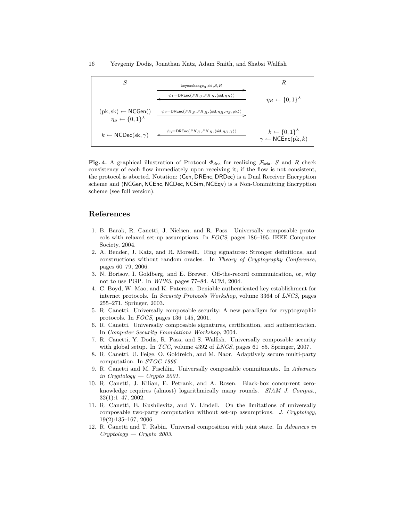|                                                                                               | keyexchange <sub>0</sub> , sid, $S, R$                                                     | К                                                                                      |
|-----------------------------------------------------------------------------------------------|--------------------------------------------------------------------------------------------|----------------------------------------------------------------------------------------|
|                                                                                               | $\psi_1 = \text{DREnc}(PK_S, PK_B, \langle \text{sid}, \eta_B \rangle)$                    | $\eta_R \leftarrow \{0,1\}^{\lambda}$                                                  |
| $(\text{pk}, \text{sk}) \leftarrow \mathsf{NCGen}()$<br>$\eta_S \leftarrow \{0,1\}^{\lambda}$ | $\psi_2 = \text{DREnc}(PK_S, PK_B, \langle \text{sid}, \eta_B, \eta_S, \text{pk} \rangle)$ |                                                                                        |
| $k \leftarrow \mathsf{NCDec}(\mathsf{sk}, \gamma)$                                            | $\psi_3 = \text{DREnc}(PK_S, PK_B, \langle \text{sid}, \eta_S, \gamma \rangle)$            | $k \leftarrow \{0,1\}^{\lambda}$<br>$\gamma \leftarrow \mathsf{NCEnc}(\mathrm{pk}, k)$ |

Fig. 4. A graphical illustration of Protocol  $\Phi_{dre}$  for realizing  $\mathcal{F}_{keia}$ . S and R check consistency of each flow immediately upon receiving it; if the flow is not consistent, the protocol is aborted. Notation: (Gen, DREnc, DRDec) is a Dual Receiver Encryption scheme and (NCGen, NCEnc, NCDec, NCSim, NCEqv) is a Non-Committing Encryption scheme (see full version).

## References

- 1. B. Barak, R. Canetti, J. Nielsen, and R. Pass. Universally composable protocols with relaxed set-up assumptions. In FOCS, pages 186–195. IEEE Computer Society, 2004.
- 2. A. Bender, J. Katz, and R. Morselli. Ring signatures: Stronger definitions, and constructions without random oracles. In Theory of Cryptography Conference, pages 60–79, 2006.
- 3. N. Borisov, I. Goldberg, and E. Brewer. Off-the-record communication, or, why not to use PGP. In WPES, pages 77–84. ACM, 2004.
- 4. C. Boyd, W. Mao, and K. Paterson. Deniable authenticated key establishment for internet protocols. In Security Protocols Workshop, volume 3364 of LNCS, pages 255–271. Springer, 2003.
- 5. R. Canetti. Universally composable security: A new paradigm for cryptographic protocols. In FOCS, pages 136–145, 2001.
- 6. R. Canetti. Universally composable signatures, certification, and authentication. In Computer Security Foundations Workshop, 2004.
- 7. R. Canetti, Y. Dodis, R. Pass, and S. Walfish. Universally composable security with global setup. In TCC, volume 4392 of LNCS, pages 61–85. Springer, 2007.
- 8. R. Canetti, U. Feige, O. Goldreich, and M. Naor. Adaptively secure multi-party computation. In STOC 1996.
- 9. R. Canetti and M. Fischlin. Universally composable commitments. In Advances in Cryptology — Crypto 2001.
- 10. R. Canetti, J. Kilian, E. Petrank, and A. Rosen. Black-box concurrent zeroknowledge requires (almost) logarithmically many rounds. SIAM J. Comput., 32(1):1–47, 2002.
- 11. R. Canetti, E. Kushilevitz, and Y. Lindell. On the limitations of universally composable two-party computation without set-up assumptions. J. Cryptology, 19(2):135–167, 2006.
- 12. R. Canetti and T. Rabin. Universal composition with joint state. In Advances in Cryptology — Crypto 2003.